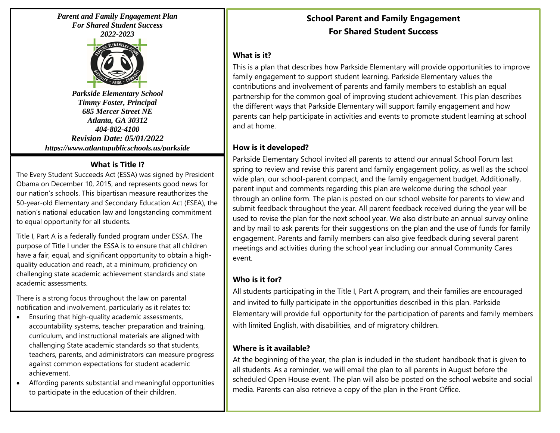*Parent and Family Engagement Plan For Shared Student Success 2022-2023*



*Parkside Elementary School Timmy Foster, Principal 685 Mercer Street NE Atlanta, GA 30312 404-802-4100 Revision Date: 05/01/2022 https://www.atlantapublicschools.us/parkside*

## **What is Title I?**

The Every Student Succeeds Act (ESSA) was signed by President Obama on December 10, 2015, and represents good news for our nation's schools. This bipartisan measure reauthorizes the 50-year-old Elementary and Secondary Education Act (ESEA), the nation's national education law and longstanding commitment to equal opportunity for all students.

Title I, Part A is a federally funded program under ESSA. The purpose of Title I under the ESSA is to ensure that all children have a fair, equal, and significant opportunity to obtain a highquality education and reach, at a minimum, proficiency on challenging state academic achievement standards and state academic assessments.

There is a strong focus throughout the law on parental notification and involvement, particularly as it relates to:

- Ensuring that high-quality academic assessments, accountability systems, teacher preparation and training, curriculum, and instructional materials are aligned with challenging State academic standards so that students, teachers, parents, and administrators can measure progress against common expectations for student academic achievement.
- Affording parents substantial and meaningful opportunities to participate in the education of their children.

# **School Parent and Family Engagement For Shared Student Success**

# **What is it?**

This is a plan that describes how Parkside Elementary will provide opportunities to improve family engagement to support student learning. Parkside Elementary values the contributions and involvement of parents and family members to establish an equal partnership for the common goal of improving student achievement. This plan describes the different ways that Parkside Elementary will support family engagement and how parents can help participate in activities and events to promote student learning at school and at home.

# **How is it developed?**

Parkside Elementary School invited all parents to attend our annual School Forum last spring to review and revise this parent and family engagement policy, as well as the school wide plan, our school-parent compact, and the family engagement budget. Additionally, parent input and comments regarding this plan are welcome during the school year through an online form. The plan is posted on our school website for parents to view and submit feedback throughout the year. All parent feedback received during the year will be used to revise the plan for the next school year. We also distribute an annual survey online and by mail to ask parents for their suggestions on the plan and the use of funds for family engagement. Parents and family members can also give feedback during several parent meetings and activities during the school year including our annual Community Cares event.

# **Who is it for?**

All students participating in the Title I, Part A program, and their families are encouraged and invited to fully participate in the opportunities described in this plan. Parkside Elementary will provide full opportunity for the participation of parents and family members with limited English, with disabilities, and of migratory children.

# **Where is it available?**

At the beginning of the year, the plan is included in the student handbook that is given to all students. As a reminder, we will email the plan to all parents in August before the scheduled Open House event. The plan will also be posted on the school website and social media. Parents can also retrieve a copy of the plan in the Front Office.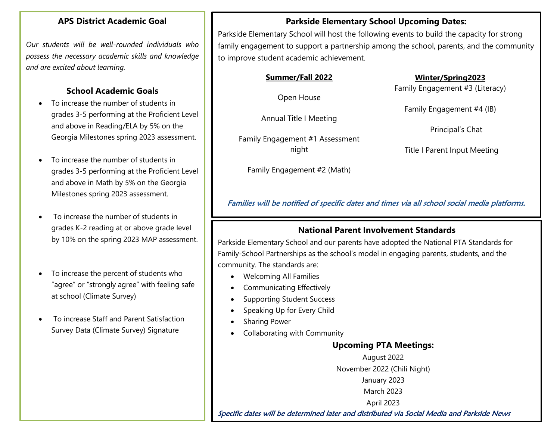#### **APS District Academic Goal**

*Our students will be well-rounded individuals who possess the necessary academic skills and knowledge and are excited about learning.*

# **School Academic Goals**

- To increase the number of students in grades 3-5 performing at the Proficient Level and above in Reading/ELA by 5% on the Georgia Milestones spring 2023 assessment.
- To increase the number of students in grades 3-5 performing at the Proficient Level and above in Math by 5% on the Georgia Milestones spring 2023 assessment.
- To increase the number of students in grades K-2 reading at or above grade level by 10% on the spring 2023 MAP assessment.
- To increase the percent of students who "agree" or "strongly agree" with feeling safe at school (Climate Survey)
- To increase Staff and Parent Satisfaction Survey Data (Climate Survey) Signature

# **Parkside Elementary School Upcoming Dates:**

Parkside Elementary School will host the following events to build the capacity for strong family engagement to support a partnership among the school, parents, and the community to improve student academic achievement.

#### **Summer/Fall 2022**

Open House

Annual Title I Meeting

Family Engagement #1 Assessment night

Family Engagement #2 (Math)

#### **Winter/Spring2023**

Family Engagement #3 (Literacy)

Family Engagement #4 (IB)

Principal's Chat

Title I Parent Input Meeting

Families will be notified of specific dates and times via all school social media platforms.

# **National Parent Involvement Standards**

Parkside Elementary School and our parents have adopted the National PTA Standards for Family-School Partnerships as the school's model in engaging parents, students, and the community. The standards are:

- Welcoming All Families
- Communicating Effectively
- Supporting Student Success
- Speaking Up for Every Child
- Sharing Power
- Collaborating with Community

# **Upcoming PTA Meetings:**

August 2022 November 2022 (Chili Night) January 2023 March 2023 April 2023

Specific dates will be determined later and distributed via Social Media and Parkside News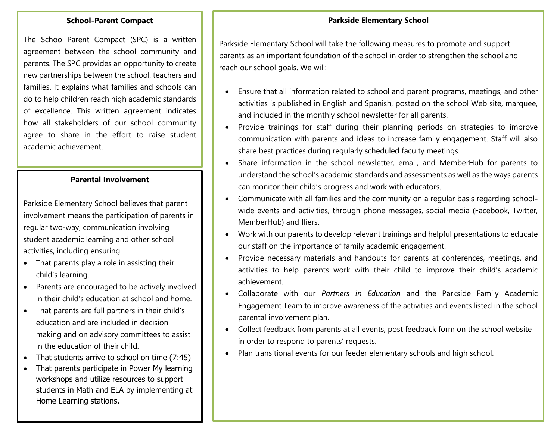#### **Parkside Elementary School**

#### **School-Parent Compact**

The School-Parent Compact (SPC) is a written agreement between the school community and parents. The SPC provides an opportunity to create new partnerships between the school, teachers and families. It explains what families and schools can do to help children reach high academic standards of excellence. This written agreement indicates how all stakeholders of our school community agree to share in the effort to raise student academic achievement.

#### **Parental Involvement**

Parkside Elementary School believes that parent involvement means the participation of parents in regular two-way, communication involving student academic learning and other school activities, including ensuring:

- That parents play a role in assisting their child's learning.
- Parents are encouraged to be actively involved in their child's education at school and home.
- That parents are full partners in their child's education and are included in decisionmaking and on advisory committees to assist in the education of their child.
- That students arrive to school on time (7:45)
- That parents participate in Power My learning workshops and utilize resources to support students in Math and ELA by implementing at Home Learning stations.

Parkside Elementary School will take the following measures to promote and support parents as an important foundation of the school in order to strengthen the school and reach our school goals. We will:

- Ensure that all information related to school and parent programs, meetings, and other activities is published in English and Spanish, posted on the school Web site, marquee, and included in the monthly school newsletter for all parents.
- Provide trainings for staff during their planning periods on strategies to improve communication with parents and ideas to increase family engagement. Staff will also share best practices during regularly scheduled faculty meetings.
- Share information in the school newsletter, email, and MemberHub for parents to understand the school's academic standards and assessments as well as the ways parents can monitor their child's progress and work with educators.
- Communicate with all families and the community on a regular basis regarding schoolwide events and activities, through phone messages, social media (Facebook, Twitter, MemberHub) and fliers.
- Work with our parents to develop relevant trainings and helpful presentations to educate our staff on the importance of family academic engagement.
- Provide necessary materials and handouts for parents at conferences, meetings, and activities to help parents work with their child to improve their child's academic achievement.
- Collaborate with our *Partners in Education* and the Parkside Family Academic Engagement Team to improve awareness of the activities and events listed in the school parental involvement plan.
- Collect feedback from parents at all events, post feedback form on the school website in order to respond to parents' requests.
- Plan transitional events for our feeder elementary schools and high school.